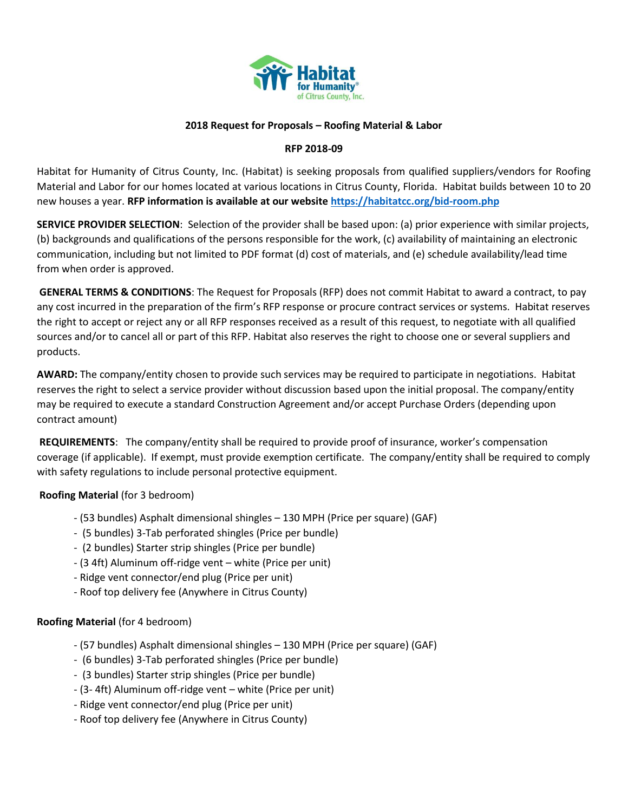

## **2018 Request for Proposals – Roofing Material & Labor**

## **RFP 2018-09**

Habitat for Humanity of Citrus County, Inc. (Habitat) is seeking proposals from qualified suppliers/vendors for Roofing Material and Labor for our homes located at various locations in Citrus County, Florida. Habitat builds between 10 to 20 new houses a year. **RFP information is available at our website<https://habitatcc.org/bid-room.php>**

**SERVICE PROVIDER SELECTION**: Selection of the provider shall be based upon: (a) prior experience with similar projects, (b) backgrounds and qualifications of the persons responsible for the work, (c) availability of maintaining an electronic communication, including but not limited to PDF format (d) cost of materials, and (e) schedule availability/lead time from when order is approved.

**GENERAL TERMS & CONDITIONS**: The Request for Proposals (RFP) does not commit Habitat to award a contract, to pay any cost incurred in the preparation of the firm's RFP response or procure contract services or systems. Habitat reserves the right to accept or reject any or all RFP responses received as a result of this request, to negotiate with all qualified sources and/or to cancel all or part of this RFP. Habitat also reserves the right to choose one or several suppliers and products.

**AWARD:** The company/entity chosen to provide such services may be required to participate in negotiations. Habitat reserves the right to select a service provider without discussion based upon the initial proposal. The company/entity may be required to execute a standard Construction Agreement and/or accept Purchase Orders (depending upon contract amount)

**REQUIREMENTS**: The company/entity shall be required to provide proof of insurance, worker's compensation coverage (if applicable). If exempt, must provide exemption certificate. The company/entity shall be required to comply with safety regulations to include personal protective equipment.

## **Roofing Material** (for 3 bedroom)

- (53 bundles) Asphalt dimensional shingles 130 MPH (Price per square) (GAF)
- (5 bundles) 3-Tab perforated shingles (Price per bundle)
- (2 bundles) Starter strip shingles (Price per bundle)
- (3 4ft) Aluminum off-ridge vent white (Price per unit)
- Ridge vent connector/end plug (Price per unit)
- Roof top delivery fee (Anywhere in Citrus County)

## **Roofing Material** (for 4 bedroom)

- (57 bundles) Asphalt dimensional shingles 130 MPH (Price per square) (GAF)
- (6 bundles) 3-Tab perforated shingles (Price per bundle)
- (3 bundles) Starter strip shingles (Price per bundle)
- (3- 4ft) Aluminum off-ridge vent white (Price per unit)
- Ridge vent connector/end plug (Price per unit)
- Roof top delivery fee (Anywhere in Citrus County)